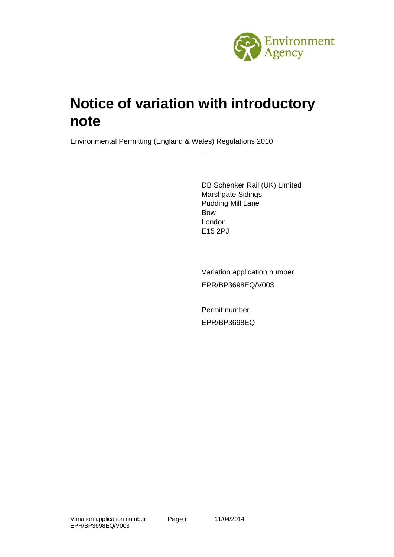

# **Notice of variation with introductory note**

Environmental Permitting (England & Wales) Regulations 2010

DB Schenker Rail (UK) Limited Marshgate Sidings Pudding Mill Lane Bow London E15 2PJ

Variation application number EPR/BP3698EQ/V003

Permit number EPR/BP3698EQ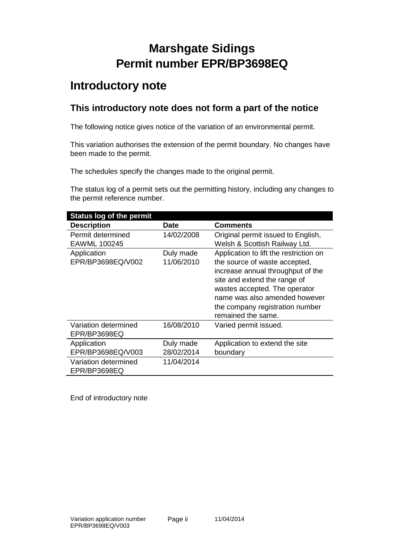## **Marshgate Sidings Permit number EPR/BP3698EQ**

### **Introductory note**

### **This introductory note does not form a part of the notice**

The following notice gives notice of the variation of an environmental permit.

This variation authorises the extension of the permit boundary. No changes have been made to the permit.

The schedules specify the changes made to the original permit.

The status log of a permit sets out the permitting history, including any changes to the permit reference number.

| <b>Status log of the permit</b> |            |                                        |
|---------------------------------|------------|----------------------------------------|
| <b>Description</b>              | Date       | <b>Comments</b>                        |
| Permit determined               | 14/02/2008 | Original permit issued to English,     |
| EAWML 100245                    |            | Welsh & Scottish Railway Ltd.          |
| Application                     | Duly made  | Application to lift the restriction on |
| EPR/BP3698EQ/V002               | 11/06/2010 | the source of waste accepted,          |
|                                 |            | increase annual throughput of the      |
|                                 |            | site and extend the range of           |
|                                 |            | wastes accepted. The operator          |
|                                 |            | name was also amended however          |
|                                 |            | the company registration number        |
|                                 |            | remained the same.                     |
| Variation determined            | 16/08/2010 | Varied permit issued.                  |
| EPR/BP3698EQ                    |            |                                        |
| Application                     | Duly made  | Application to extend the site         |
| EPR/BP3698EQ/V003               | 28/02/2014 | boundary                               |
| Variation determined            | 11/04/2014 |                                        |
| EPR/BP3698EQ                    |            |                                        |

End of introductory note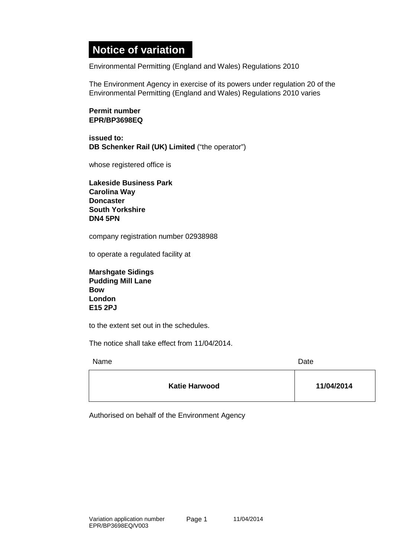### **Notice of variation**

Environmental Permitting (England and Wales) Regulations 2010

The Environment Agency in exercise of its powers under regulation 20 of the Environmental Permitting (England and Wales) Regulations 2010 varies

#### **Permit number EPR/BP3698EQ**

**issued to: DB Schenker Rail (UK) Limited** ("the operator")

whose registered office is

**Lakeside Business Park Carolina Way Doncaster South Yorkshire DN4 5PN**

company registration number 02938988

to operate a regulated facility at

**Marshgate Sidings Pudding Mill Lane Bow London E15 2PJ**

to the extent set out in the schedules.

The notice shall take effect from 11/04/2014.

Name Date **Date** 

| 11/04/2014<br><b>Katie Harwood</b> |  |  |
|------------------------------------|--|--|
|------------------------------------|--|--|

Authorised on behalf of the Environment Agency